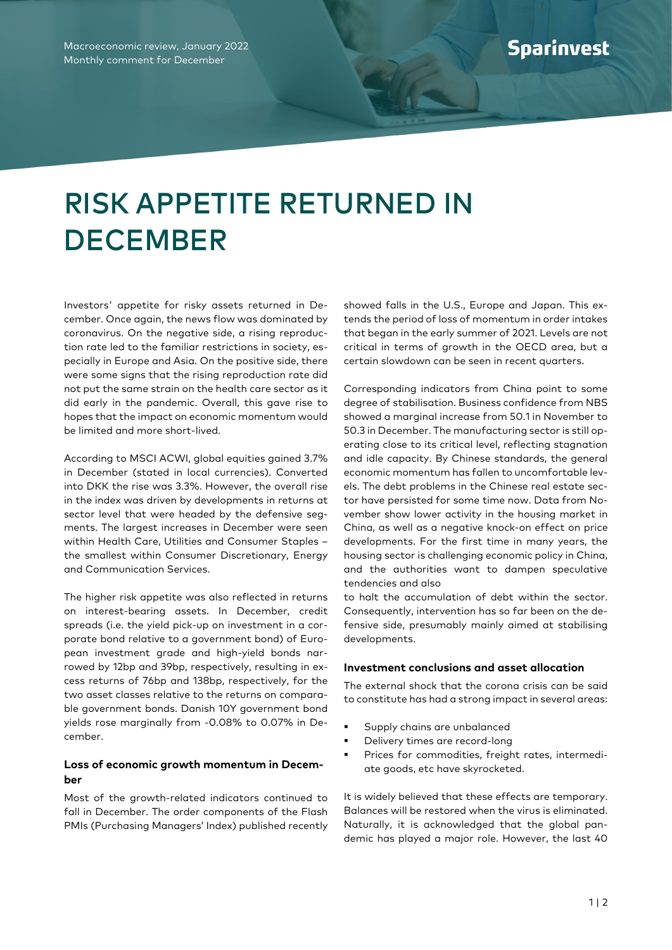## RISK APPETITE RETURNED IN **DECEMBER**

Investors' appetite for risky assets returned in December. Once again, the news flow was dominated by coronavirus. On the negative side, a rising reproduction rate led to the familiar restrictions in society, especially in Europe and Asia. On the positive side, there were some signs that the rising reproduction rate did not put the same strain on the health care sector as it did early in the pandemic. Overall, this gave rise to hopes that the impact on economic momentum would be limited and more short-lived.

According to MSCI ACWI, global equities gained 3.7% in December (stated in local currencies). Converted into DKK the rise was 3.3%. However, the overall rise in the index was driven by developments in returns at sector level that were headed by the defensive segments. The largest increases in December were seen within Health Care, Utilities and Consumer Staples – the smallest within Consumer Discretionary, Energy and Communication Services.

The higher risk appetite was also reflected in returns on interest-bearing assets. In December, credit spreads (i.e. the yield pick-up on investment in a corporate bond relative to a government bond) of European investment grade and high-yield bonds narrowed by 12bp and 39bp, respectively, resulting in excess returns of 76bp and 138bp, respectively, for the two asset classes relative to the returns on comparable government bonds. Danish 10Y government bond yields rose marginally from -0.08% to 0.07% in December.

## **Loss of economic growth momentum in December**

Most of the growth-related indicators continued to fall in December. The order components of the Flash PMIs (Purchasing Managers' Index) published recently showed falls in the U.S., Europe and Japan. This extends the period of loss of momentum in order intakes that began in the early summer of 2021. Levels are not critical in terms of growth in the OECD area, but a certain slowdown can be seen in recent quarters.

Corresponding indicators from China point to some degree of stabilisation. Business confidence from NBS showed a marginal increase from 50.1 in November to 50.3 in December. The manufacturing sector is still operating close to its critical level, reflecting stagnation and idle capacity. By Chinese standards, the general economic momentum has fallen to uncomfortable levels. The debt problems in the Chinese real estate sector have persisted for some time now. Data from November show lower activity in the housing market in China, as well as a negative knock-on effect on price developments. For the first time in many years, the housing sector is challenging economic policy in China, and the authorities want to dampen speculative tendencies and also

to halt the accumulation of debt within the sector. Consequently, intervention has so far been on the defensive side, presumably mainly aimed at stabilising developments.

## **Investment conclusions and asset allocation**

The external shock that the corona crisis can be said to constitute has had a strong impact in several areas:

- Supply chains are unbalanced
- Delivery times are record-long
- Prices for commodities, freight rates, intermediate goods, etc have skyrocketed.

It is widely believed that these effects are temporary. Balances will be restored when the virus is eliminated. Naturally, it is acknowledged that the global pandemic has played a major role. However, the last 40